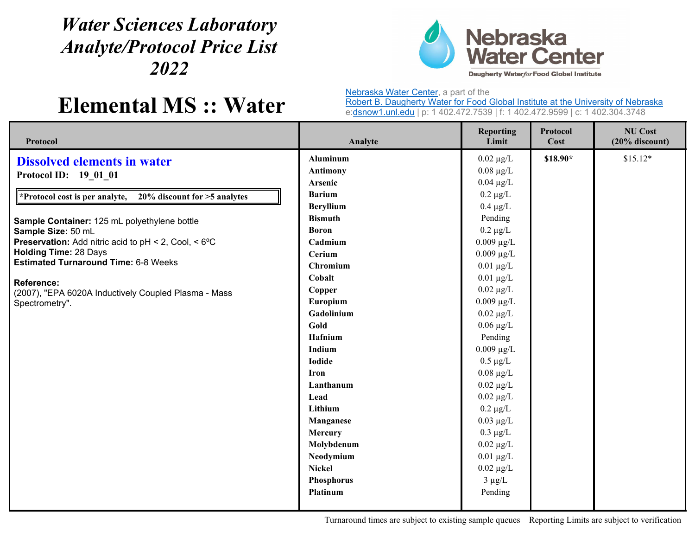## *Water Sciences Laboratory Analyte/Protocol Price List 2022*



## **Elemental MS :: Water**

Nebraska Water Center, a part of the

Robert B. Daugherty Water for Food Global Institute at the University of Nebraska e:dsnow1.unl.edu | p: 1 402.472.7539 | f: 1 402.472.9599 | c: 1 402.304.3748

| Protocol                                                           | Analyte          | <b>Reporting</b><br>Limit | Protocol<br>Cost | <b>NU Cost</b><br>$(20%$ discount) |
|--------------------------------------------------------------------|------------------|---------------------------|------------------|------------------------------------|
| <b>Dissolved elements in water</b><br>Protocol ID: 19 01 01        | <b>Aluminum</b>  | $0.02 \mu g/L$            | \$18.90*         | $$15.12*$                          |
|                                                                    | <b>Antimony</b>  | $0.08 \mu g/L$            |                  |                                    |
|                                                                    | Arsenic          | $0.04 \mu g/L$            |                  |                                    |
| 20% discount for >5 analytes<br>"Protocol cost is per analyte,     | <b>Barium</b>    | $0.2 \mu g/L$             |                  |                                    |
| Sample Container: 125 mL polyethylene bottle<br>Sample Size: 50 mL | <b>Beryllium</b> | $0.4 \mu g/L$             |                  |                                    |
|                                                                    | <b>Bismuth</b>   | Pending                   |                  |                                    |
|                                                                    | <b>Boron</b>     | $0.2 \mu g/L$             |                  |                                    |
| <b>Preservation:</b> Add nitric acid to pH < 2, Cool, < 6°C        | Cadmium          | $0.009 \mu g/L$           |                  |                                    |
| <b>Holding Time: 28 Days</b>                                       | Cerium           | $0.009 \mu g/L$           |                  |                                    |
| <b>Estimated Turnaround Time: 6-8 Weeks</b>                        | Chromium         | $0.01 \ \mu g/L$          |                  |                                    |
| Reference:                                                         | Cobalt           | $0.01 \mu g/L$            |                  |                                    |
| (2007), "EPA 6020A Inductively Coupled Plasma - Mass               | Copper           | $0.02 \mu g/L$            |                  |                                    |
| Spectrometry".                                                     | Europium         | $0.009 \mu g/L$           |                  |                                    |
|                                                                    | Gadolinium       | $0.02 \mu g/L$            |                  |                                    |
|                                                                    | Gold             | $0.06 \mu g/L$            |                  |                                    |
|                                                                    | Hafnium          | Pending                   |                  |                                    |
|                                                                    | Indium           | $0.009 \mu g/L$           |                  |                                    |
|                                                                    | <b>Iodide</b>    | $0.5 \mu g/L$             |                  |                                    |
|                                                                    | <b>Iron</b>      | $0.08 \mu g/L$            |                  |                                    |
|                                                                    | Lanthanum        | $0.02 \ \mu g/L$          |                  |                                    |
|                                                                    | Lead             | $0.02 \mu g/L$            |                  |                                    |
|                                                                    | Lithium          | $0.2 \mu g/L$             |                  |                                    |
|                                                                    | Manganese        | $0.03 \mu g/L$            |                  |                                    |
|                                                                    | Mercury          | $0.3 \mu g/L$             |                  |                                    |
|                                                                    | Molybdenum       | $0.02 \mu g/L$            |                  |                                    |
|                                                                    | Neodymium        | $0.01 \mu g/L$            |                  |                                    |
|                                                                    | <b>Nickel</b>    | $0.02 \mu g/L$            |                  |                                    |
|                                                                    | Phosphorus       | $3 \mu g/L$               |                  |                                    |
|                                                                    | Platinum         | Pending                   |                  |                                    |
|                                                                    |                  |                           |                  |                                    |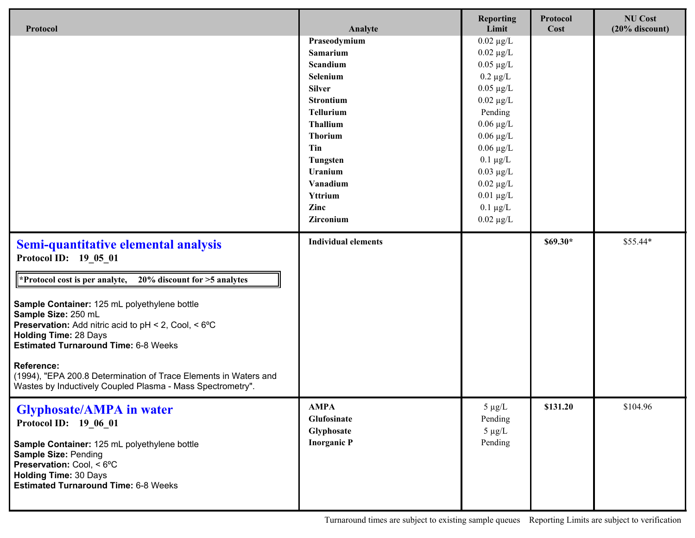| Protocol                                                                                                                                                                                                                                                                                                                                                                                                                                                                                                                           | Analyte                                                                                                                                                                                                                  | <b>Reporting</b><br>Limit                                                                                                                                                                                                                                                          | Protocol<br>Cost | <b>NU Cost</b><br>$(20%$ discount) |
|------------------------------------------------------------------------------------------------------------------------------------------------------------------------------------------------------------------------------------------------------------------------------------------------------------------------------------------------------------------------------------------------------------------------------------------------------------------------------------------------------------------------------------|--------------------------------------------------------------------------------------------------------------------------------------------------------------------------------------------------------------------------|------------------------------------------------------------------------------------------------------------------------------------------------------------------------------------------------------------------------------------------------------------------------------------|------------------|------------------------------------|
|                                                                                                                                                                                                                                                                                                                                                                                                                                                                                                                                    | Praseodymium<br>Samarium<br>Scandium<br>Selenium<br><b>Silver</b><br><b>Strontium</b><br><b>Tellurium</b><br>Thallium<br><b>Thorium</b><br>Tin<br><b>Tungsten</b><br>Uranium<br>Vanadium<br>Yttrium<br>Zinc<br>Zirconium | $0.02 \mu g/L$<br>$0.02 \mu g/L$<br>$0.05 \mu g/L$<br>$0.2 \mu g/L$<br>$0.05 \mu g/L$<br>$0.02 \mu g/L$<br>Pending<br>$0.06 \mu g/L$<br>$0.06 \mu g/L$<br>$0.06 \mu g/L$<br>$0.1 \mu g/L$<br>$0.03 \mu g/L$<br>$0.02 \mu g/L$<br>$0.01 \mu g/L$<br>$0.1 \mu g/L$<br>$0.02 \mu g/L$ |                  |                                    |
| Semi-quantitative elemental analysis<br>Protocol ID: 19_05_01<br>$20\%$ discount for $>5$ analytes<br><b>Protocol cost is per analyte,</b><br>Sample Container: 125 mL polyethylene bottle<br>Sample Size: 250 mL<br><b>Preservation:</b> Add nitric acid to $pH < 2$ , Cool, $< 6^{\circ}C$<br><b>Holding Time: 28 Days</b><br><b>Estimated Turnaround Time: 6-8 Weeks</b><br><b>Reference:</b><br>(1994), "EPA 200.8 Determination of Trace Elements in Waters and<br>Wastes by Inductively Coupled Plasma - Mass Spectrometry". | <b>Individual elements</b>                                                                                                                                                                                               |                                                                                                                                                                                                                                                                                    | $$69.30*$        | \$55.44*                           |
| <b>Glyphosate/AMPA in water</b><br>Protocol ID: 19 06 01<br>Sample Container: 125 mL polyethylene bottle<br>Sample Size: Pending<br>Preservation: Cool, < 6°C<br><b>Holding Time: 30 Days</b><br><b>Estimated Turnaround Time: 6-8 Weeks</b>                                                                                                                                                                                                                                                                                       | AMPA<br>Glufosinate<br>Glyphosate<br><b>Inorganic P</b>                                                                                                                                                                  | $5 \mu g/L$<br>Pending<br>$5 \mu g/L$<br>Pending                                                                                                                                                                                                                                   | \$131.20         | \$104.96                           |